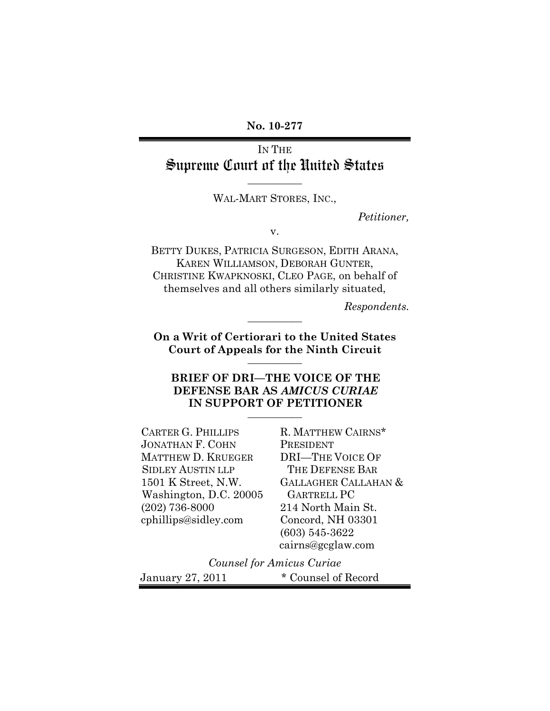**No. 10-277**

## IN THE Supreme Court of the United States

WAL-MART STORES, INC.,

**\_\_\_\_\_\_\_\_\_\_\_**

*Petitioner,*

v.

BETTY DUKES, PATRICIA SURGESON, EDITH ARANA, KAREN WILLIAMSON, DEBORAH GUNTER, CHRISTINE KWAPKNOSKI, CLEO PAGE, on behalf of themselves and all others similarly situated,

*Respondents.*

**On a Writ of Certiorari to the United States Court of Appeals for the Ninth Circuit \_\_\_\_\_\_\_\_\_\_\_**

**\_\_\_\_\_\_\_\_\_\_\_**

## **BRIEF OF DRI—THE VOICE OF THE DEFENSE BAR AS** *AMICUS CURIAE* **IN SUPPORT OF PETITIONER \_\_\_\_\_\_\_\_\_\_\_**

CARTER G. PHILLIPS JONATHAN F. COHN MATTHEW D. KRUEGER SIDLEY AUSTIN LLP 1501 K Street, N.W. Washington, D.C. 20005 (202) 736-8000 cphillips@sidley.com

R. MATTHEW CAIRNS\* PRESIDENT DRI—THE VOICE OF THE DEFENSE BAR GALLAGHER CALLAHAN & GARTRELL PC 214 North Main St. Concord, NH 03301 (603) 545-3622 cairns@gcglaw.com

*Counsel for Amicus Curiae* January 27, 2011 \* Counsel of Record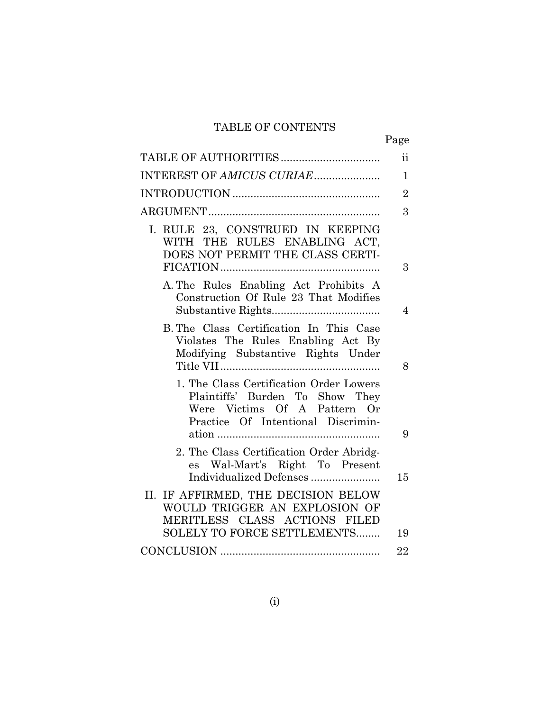## TABLE OF CONTENTS

|                                                                                                                                                  | Page           |
|--------------------------------------------------------------------------------------------------------------------------------------------------|----------------|
|                                                                                                                                                  | $\mathbf{ii}$  |
| INTEREST OF AMICUS CURIAE                                                                                                                        | $\mathbf{1}$   |
|                                                                                                                                                  | $\overline{2}$ |
|                                                                                                                                                  | 3              |
| I. RULE 23, CONSTRUED IN KEEPING<br>WITH THE RULES ENABLING ACT,<br>DOES NOT PERMIT THE CLASS CERTI-                                             | 3              |
| A. The Rules Enabling Act Prohibits A<br>Construction Of Rule 23 That Modifies                                                                   | 4              |
| B. The Class Certification In This Case<br>Violates The Rules Enabling Act By<br>Modifying Substantive Rights Under                              | 8              |
| 1. The Class Certification Order Lowers<br>Plaintiffs' Burden To Show They<br>Were Victims Of A Pattern Or<br>Practice Of Intentional Discrimin- | 9              |
| 2. The Class Certification Order Abridg-<br>es Wal-Mart's Right To Present<br>Individualized Defenses                                            | 15             |
| II. IF AFFIRMED, THE DECISION BELOW<br>WOULD TRIGGER AN EXPLOSION OF<br>MERITLESS CLASS ACTIONS FILED                                            |                |
| SOLELY TO FORCE SETTLEMENTS                                                                                                                      | 19             |
|                                                                                                                                                  | 22             |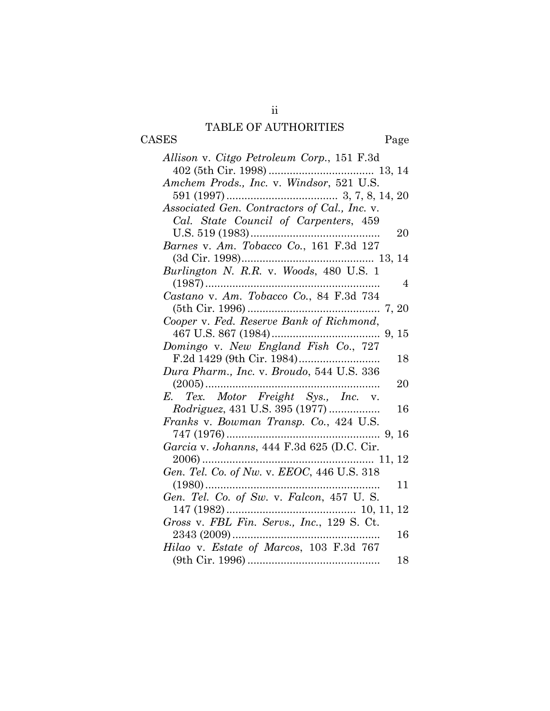# TABLE OF AUTHORITIES

CASES Page

| Allison v. Citgo Petroleum Corp., 151 F.3d   |    |
|----------------------------------------------|----|
|                                              |    |
| Amchem Prods., Inc. v. Windsor, 521 U.S.     |    |
|                                              |    |
| Associated Gen. Contractors of Cal., Inc. v. |    |
| Cal. State Council of Carpenters, 459        |    |
| $U.S. 519(1983)$                             | 20 |
| Barnes v. Am. Tobacco Co., 161 F.3d 127      |    |
|                                              |    |
| Burlington N. R.R. v. Woods, 480 U.S. 1      |    |
|                                              | 4  |
| Castano v. Am. Tobacco Co., 84 F.3d 734      |    |
|                                              |    |
| Cooper v. Fed. Reserve Bank of Richmond,     |    |
|                                              |    |
| Domingo v. New England Fish Co., 727         |    |
|                                              | 18 |
| Dura Pharm., Inc. v. Broudo, 544 U.S. 336    |    |
|                                              | 20 |
| E. Tex. Motor Freight Sys., Inc. v.          |    |
| <i>Rodriguez</i> , 431 U.S. 395 (1977)       | 16 |
| Franks v. Bowman Transp. Co., 424 U.S.       |    |
|                                              |    |
|                                              |    |
|                                              |    |
|                                              |    |
| $(1980)$                                     | 11 |
| Gen. Tel. Co. of Sw. v. Falcon, 457 U.S.     |    |
| $147(1982)$                                  |    |
| Gross v. FBL Fin. Servs., Inc., 129 S. Ct.   |    |
|                                              | 16 |
| Hilao v. Estate of Marcos, 103 F.3d 767      |    |
|                                              | 18 |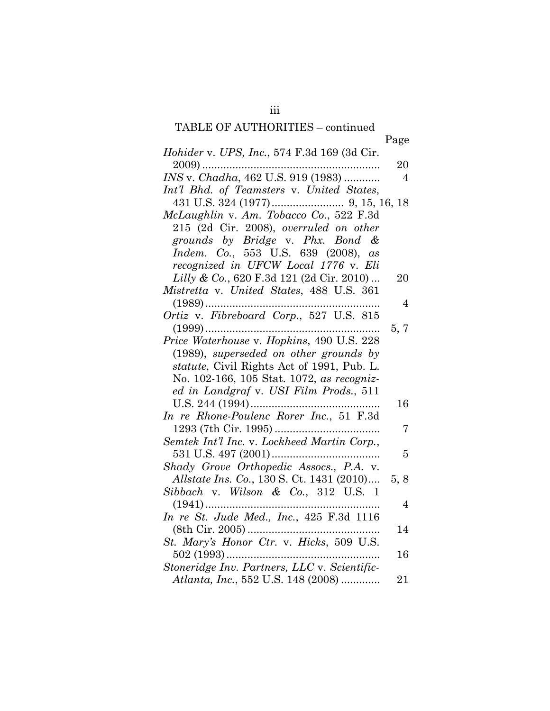# TABLE OF AUTHORITIES – continued

|                                              | Page           |
|----------------------------------------------|----------------|
| Hohider v. UPS, Inc., 574 F.3d 169 (3d Cir.  |                |
| $2009)$                                      | 20             |
| INS v. Chadha, 462 U.S. 919 (1983)           | $\overline{4}$ |
| Int'l Bhd. of Teamsters v. United States,    |                |
|                                              |                |
| McLaughlin v. Am. Tobacco Co., 522 F.3d      |                |
| 215 (2d Cir. 2008), overruled on other       |                |
| grounds by Bridge v. Phx. Bond &             |                |
| Indem. Co., 553 U.S. 639 (2008), as          |                |
| recognized in UFCW Local 1776 v. Eli         |                |
| Lilly & Co., 620 F.3d 121 (2d Cir. 2010)     | 20             |
| Mistretta v. United States, 488 U.S. 361     |                |
| $(1989)$                                     | $\overline{4}$ |
| Ortiz v. Fibreboard Corp., 527 U.S. 815      |                |
|                                              | 5, 7           |
| Price Waterhouse v. Hopkins, 490 U.S. 228    |                |
| $(1989)$ , superseded on other grounds by    |                |
| statute, Civil Rights Act of 1991, Pub. L.   |                |
| No. 102-166, 105 Stat. 1072, as recogniz-    |                |
| ed in Landgraf v. USI Film Prods., 511       |                |
|                                              | 16             |
| In re Rhone-Poulenc Rorer Inc., 51 F.3d      |                |
|                                              | 7              |
| Semtek Int'l Inc. v. Lockheed Martin Corp.,  |                |
|                                              | 5              |
| Shady Grove Orthopedic Assocs., P.A. v.      |                |
| Allstate Ins. Co., 130 S. Ct. 1431 (2010)    | 5, 8           |
| Sibbach v. Wilson & Co., 312 U.S. 1          |                |
| $(1941)$                                     | $\overline{4}$ |
| In re St. Jude Med., Inc., 425 F.3d 1116     |                |
|                                              | 14             |
| St. Mary's Honor Ctr. v. Hicks, 509 U.S.     |                |
|                                              | 16             |
| Stoneridge Inv. Partners, LLC v. Scientific- |                |
| Atlanta, Inc., 552 U.S. 148 (2008)           | 21             |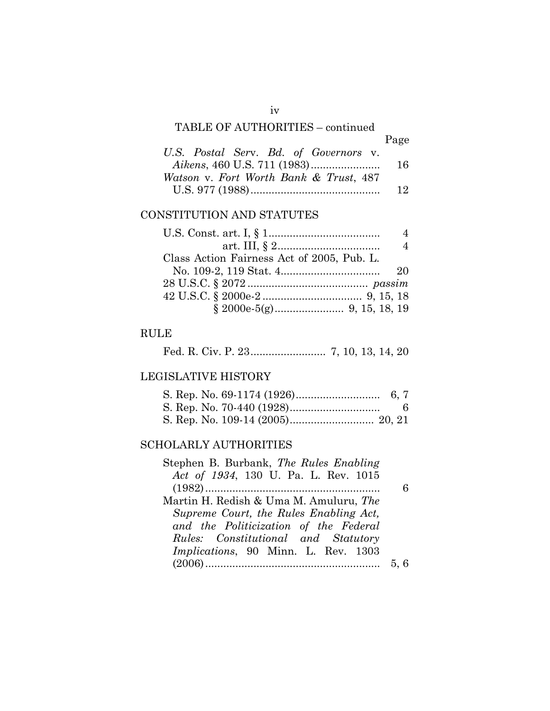## TABLE OF AUTHORITIES – continued

|                                        | Page |
|----------------------------------------|------|
| U.S. Postal Serv. Bd. of Governors v.  |      |
|                                        | 16.  |
| Watson v. Fort Worth Bank & Trust, 487 |      |
|                                        | 12.  |

## CONSTITUTION AND STATUTES

|                                            | $\overline{4}$ |
|--------------------------------------------|----------------|
|                                            | $\overline{4}$ |
| Class Action Fairness Act of 2005, Pub. L. |                |
|                                            | 20             |
|                                            |                |
|                                            |                |
|                                            |                |

## RULE

Fed. R. Civ. P. 23......................... 7, 10, 13, 14, 20

## LEGISLATIVE HISTORY

## SCHOLARLY AUTHORITIES

| Stephen B. Burbank, The Rules Enabling      |  |
|---------------------------------------------|--|
| Act of 1934, 130 U. Pa. L. Rev. 1015        |  |
|                                             |  |
| Martin H. Redish & Uma M. Amuluru, The      |  |
| Supreme Court, the Rules Enabling Act,      |  |
| and the Politicization of the Federal       |  |
| Rules: Constitutional and Statutory         |  |
| <i>Implications</i> , 90 Minn. L. Rev. 1303 |  |
|                                             |  |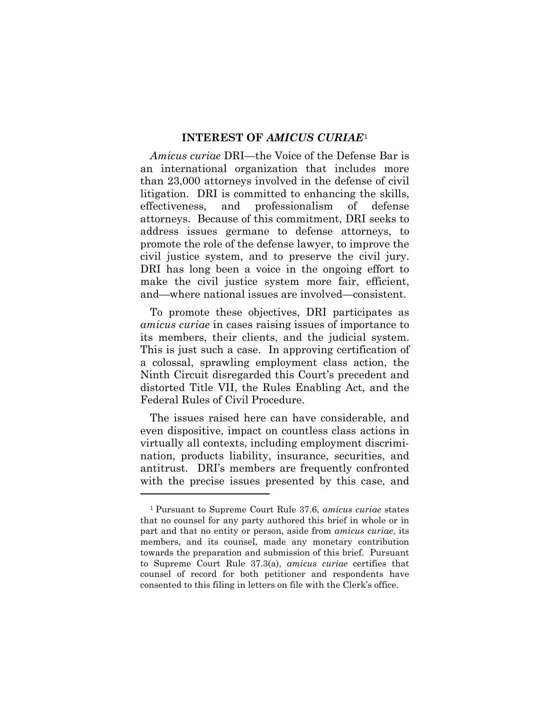#### **INTEREST OF** *AMICUS CURIAE*[1](#page-5-0)

*Amicus curiae* DRI—the Voice of the Defense Bar is an international organization that includes more than 23,000 attorneys involved in the defense of civil litigation. DRI is committed to enhancing the skills, effectiveness, and professionalism of defense attorneys. Because of this commitment, DRI seeks to address issues germane to defense attorneys, to promote the role of the defense lawyer, to improve the civil justice system, and to preserve the civil jury. DRI has long been a voice in the ongoing effort to make the civil justice system more fair, efficient, and—where national issues are involved—consistent.

To promote these objectives, DRI participates as *amicus curiae* in cases raising issues of importance to its members, their clients, and the judicial system. This is just such a case. In approving certification of a colossal, sprawling employment class action, the Ninth Circuit disregarded this Court's precedent and distorted Title VII, the Rules Enabling Act, and the Federal Rules of Civil Procedure.

The issues raised here can have considerable, and even dispositive, impact on countless class actions in virtually all contexts, including employment discrimination, products liability, insurance, securities, and antitrust. DRI's members are frequently confronted with the precise issues presented by this case, and

 $\overline{a}$ 

<span id="page-5-0"></span><sup>1</sup> Pursuant to Supreme Court Rule 37.6, *amicus curiae* states that no counsel for any party authored this brief in whole or in part and that no entity or person, aside from *amicus curiae*, its members, and its counsel, made any monetary contribution towards the preparation and submission of this brief. Pursuant to Supreme Court Rule 37.3(a), *amicus curiae* certifies that counsel of record for both petitioner and respondents have consented to this filing in letters on file with the Clerk's office.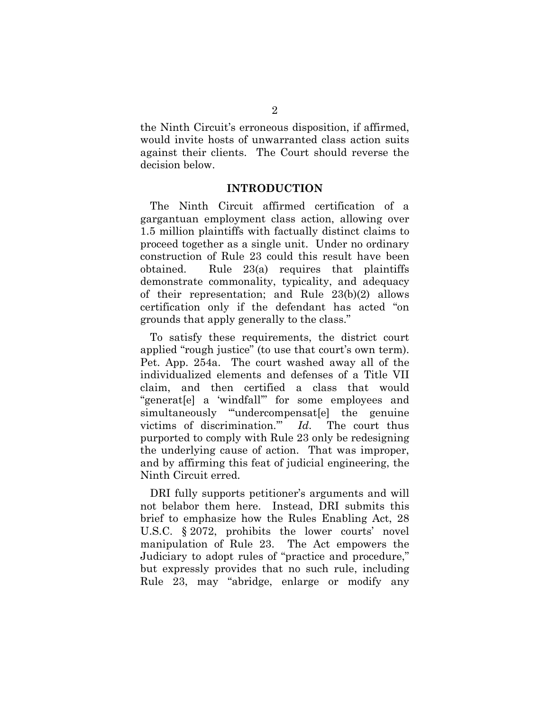the Ninth Circuit's erroneous disposition, if affirmed, would invite hosts of unwarranted class action suits against their clients. The Court should reverse the decision below.

#### **INTRODUCTION**

The Ninth Circuit affirmed certification of a gargantuan employment class action, allowing over 1.5 million plaintiffs with factually distinct claims to proceed together as a single unit. Under no ordinary construction of Rule 23 could this result have been obtained. Rule 23(a) requires that plaintiffs demonstrate commonality, typicality, and adequacy of their representation; and Rule 23(b)(2) allows certification only if the defendant has acted "on grounds that apply generally to the class."

To satisfy these requirements, the district court applied "rough justice" (to use that court's own term). Pet. App. 254a. The court washed away all of the individualized elements and defenses of a Title VII claim, and then certified a class that would "generat[e] a 'windfall'" for some employees and simultaneously "undercompensat[e] the genuine victims of discrimination.'" *Id*. The court thus purported to comply with Rule 23 only be redesigning the underlying cause of action. That was improper, and by affirming this feat of judicial engineering, the Ninth Circuit erred.

DRI fully supports petitioner's arguments and will not belabor them here. Instead, DRI submits this brief to emphasize how the Rules Enabling Act, 28 U.S.C. § 2072, prohibits the lower courts' novel manipulation of Rule 23. The Act empowers the Judiciary to adopt rules of "practice and procedure," but expressly provides that no such rule, including Rule 23, may "abridge, enlarge or modify any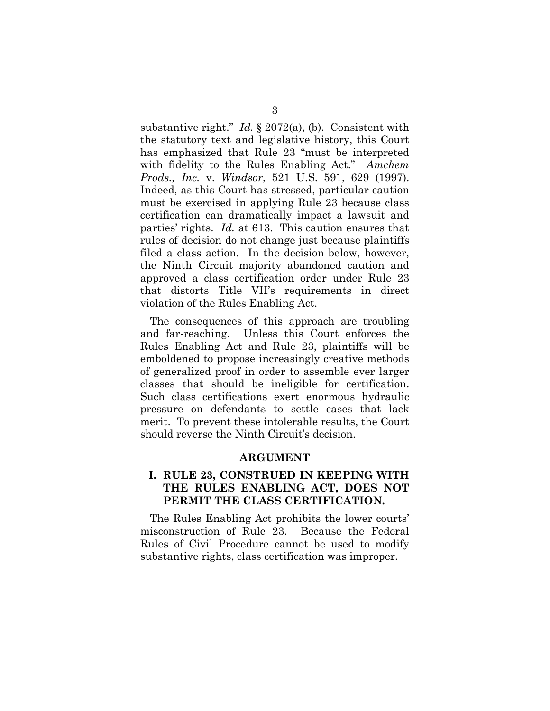substantive right." *Id.* § 2072(a), (b). Consistent with the statutory text and legislative history, this Court has emphasized that Rule 23 "must be interpreted with fidelity to the Rules Enabling Act." *Amchem Prods., Inc.* v. *Windsor*, 521 U.S. 591, 629 (1997). Indeed, as this Court has stressed, particular caution must be exercised in applying Rule 23 because class certification can dramatically impact a lawsuit and parties' rights. *Id.* at 613. This caution ensures that rules of decision do not change just because plaintiffs filed a class action. In the decision below, however, the Ninth Circuit majority abandoned caution and approved a class certification order under Rule 23 that distorts Title VII's requirements in direct violation of the Rules Enabling Act.

The consequences of this approach are troubling and far-reaching. Unless this Court enforces the Rules Enabling Act and Rule 23, plaintiffs will be emboldened to propose increasingly creative methods of generalized proof in order to assemble ever larger classes that should be ineligible for certification. Such class certifications exert enormous hydraulic pressure on defendants to settle cases that lack merit. To prevent these intolerable results, the Court should reverse the Ninth Circuit's decision.

#### **ARGUMENT**

## **I. RULE 23, CONSTRUED IN KEEPING WITH THE RULES ENABLING ACT, DOES NOT PERMIT THE CLASS CERTIFICATION.**

The Rules Enabling Act prohibits the lower courts' misconstruction of Rule 23. Because the Federal Rules of Civil Procedure cannot be used to modify substantive rights, class certification was improper.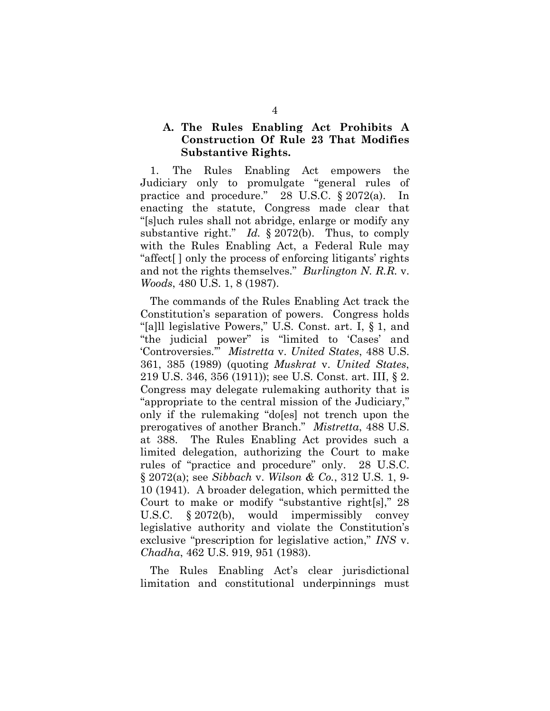## **A. The Rules Enabling Act Prohibits A Construction Of Rule 23 That Modifies Substantive Rights.**

1. The Rules Enabling Act empowers the Judiciary only to promulgate "general rules of practice and procedure." 28 U.S.C. § 2072(a). In enacting the statute, Congress made clear that "[s]uch rules shall not abridge, enlarge or modify any substantive right." *Id.* § 2072(b). Thus, to comply with the Rules Enabling Act, a Federal Rule may "affect[ ] only the process of enforcing litigants' rights and not the rights themselves." *Burlington N. R.R.* v. *Woods*, 480 U.S. 1, 8 (1987).

The commands of the Rules Enabling Act track the Constitution's separation of powers. Congress holds "[a]ll legislative Powers," U.S. Const. art. I, § 1, and "the judicial power" is "limited to 'Cases' and 'Controversies.'" *Mistretta* v. *United States*, 488 U.S. 361, 385 (1989) (quoting *Muskrat* v. *United States*, 219 U.S. 346, 356 (1911)); see U.S. Const. art. III, § 2. Congress may delegate rulemaking authority that is "appropriate to the central mission of the Judiciary," only if the rulemaking "do[es] not trench upon the prerogatives of another Branch." *Mistretta*, 488 U.S. at 388. The Rules Enabling Act provides such a limited delegation, authorizing the Court to make rules of "practice and procedure" only. 28 U.S.C. § 2072(a); see *Sibbach* v. *Wilson & Co.*, 312 U.S. 1, 9- 10 (1941). A broader delegation, which permitted the Court to make or modify "substantive right[s]," 28 U.S.C. § 2072(b), would impermissibly convey legislative authority and violate the Constitution's exclusive "prescription for legislative action," *INS* v. *Chadha*, 462 U.S. 919, 951 (1983).

The Rules Enabling Act's clear jurisdictional limitation and constitutional underpinnings must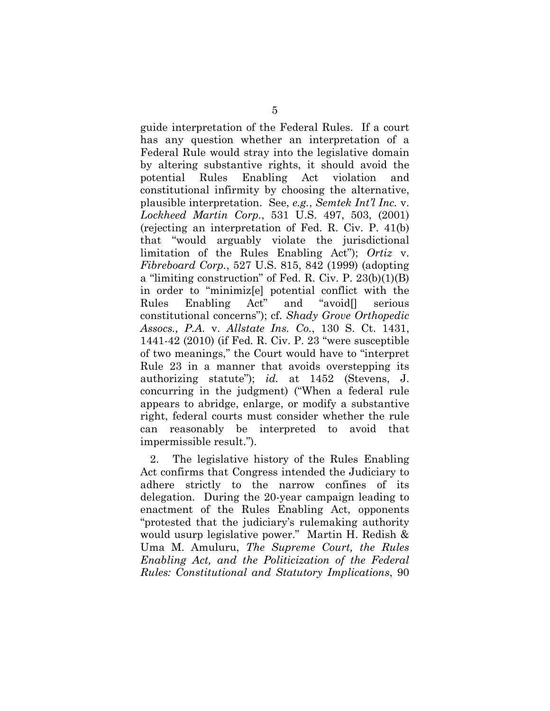guide interpretation of the Federal Rules. If a court has any question whether an interpretation of a Federal Rule would stray into the legislative domain by altering substantive rights, it should avoid the potential Rules Enabling Act violation and constitutional infirmity by choosing the alternative, plausible interpretation. See, *e.g.*, *Semtek Int'l Inc.* v. *Lockheed Martin Corp.*, 531 U.S. 497, 503, (2001) (rejecting an interpretation of Fed. R. Civ. P. 41(b) that "would arguably violate the jurisdictional limitation of the Rules Enabling Act"); *Ortiz* v. *Fibreboard Corp.*, 527 U.S. 815, 842 (1999) (adopting a "limiting construction" of Fed. R. Civ. P. 23(b)(1)(B) in order to "minimiz[e] potential conflict with the Rules Enabling Act" and "avoid[] serious constitutional concerns"); cf. *Shady Grove Orthopedic Assocs., P.A.* v. *Allstate Ins. Co.*, 130 S. Ct. 1431, 1441-42 (2010) (if Fed. R. Civ. P. 23 "were susceptible of two meanings," the Court would have to "interpret Rule 23 in a manner that avoids overstepping its authorizing statute"); *id.* at 1452 (Stevens, J. concurring in the judgment) ("When a federal rule appears to abridge, enlarge, or modify a substantive right, federal courts must consider whether the rule can reasonably be interpreted to avoid that impermissible result.").

2. The legislative history of the Rules Enabling Act confirms that Congress intended the Judiciary to adhere strictly to the narrow confines of its delegation. During the 20-year campaign leading to enactment of the Rules Enabling Act, opponents "protested that the judiciary's rulemaking authority would usurp legislative power." Martin H. Redish & Uma M. Amuluru, *The Supreme Court, the Rules Enabling Act, and the Politicization of the Federal Rules: Constitutional and Statutory Implications*, 90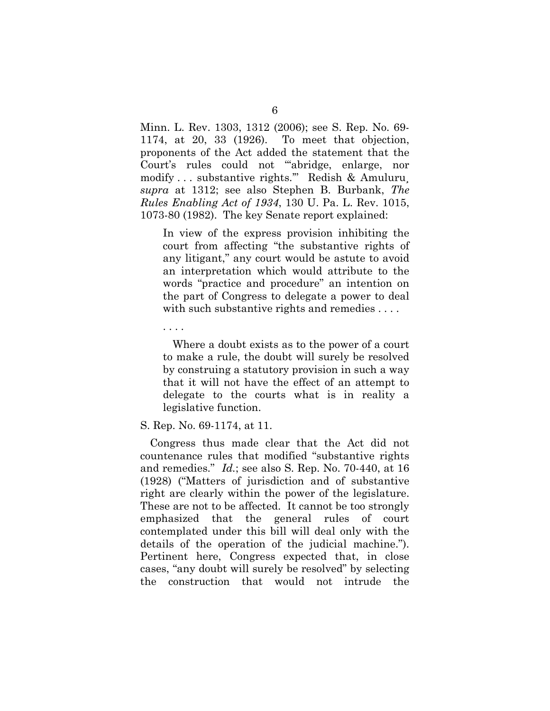Minn. L. Rev. 1303, 1312 (2006); see S. Rep. No. 69- 1174, at 20, 33 (1926). To meet that objection, proponents of the Act added the statement that the Court's rules could not "'abridge, enlarge, nor modify . . . substantive rights.'" Redish & Amuluru¸ *supra* at 1312; see also Stephen B. Burbank, *The Rules Enabling Act of 1934*, 130 U. Pa. L. Rev. 1015, 1073-80 (1982). The key Senate report explained:

In view of the express provision inhibiting the court from affecting "the substantive rights of any litigant," any court would be astute to avoid an interpretation which would attribute to the words "practice and procedure" an intention on the part of Congress to delegate a power to deal with such substantive rights and remedies ....

. . . .

Where a doubt exists as to the power of a court to make a rule, the doubt will surely be resolved by construing a statutory provision in such a way that it will not have the effect of an attempt to delegate to the courts what is in reality a legislative function.

#### S. Rep. No. 69-1174, at 11.

Congress thus made clear that the Act did not countenance rules that modified "substantive rights and remedies." *Id.*; see also S. Rep. No. 70-440, at 16 (1928) ("Matters of jurisdiction and of substantive right are clearly within the power of the legislature. These are not to be affected. It cannot be too strongly emphasized that the general rules of court contemplated under this bill will deal only with the details of the operation of the judicial machine."). Pertinent here, Congress expected that, in close cases, "any doubt will surely be resolved" by selecting the construction that would not intrude the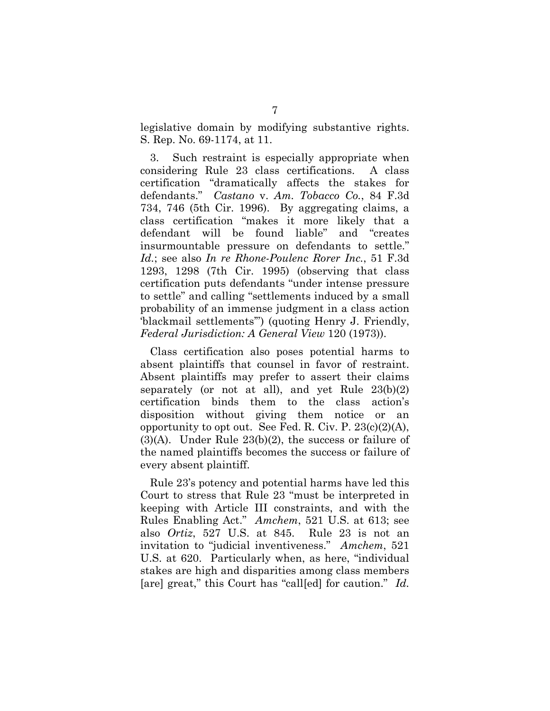legislative domain by modifying substantive rights. S. Rep. No. 69-1174, at 11.

3. Such restraint is especially appropriate when considering Rule 23 class certifications. A class certification "dramatically affects the stakes for defendants." *Castano* v. *Am. Tobacco Co.*, 84 F.3d 734, 746 (5th Cir. 1996). By aggregating claims, a class certification "makes it more likely that a defendant will be found liable" and "creates insurmountable pressure on defendants to settle." *Id.*; see also *In re Rhone-Poulenc Rorer Inc.*, 51 F.3d 1293, 1298 (7th Cir. 1995) (observing that class certification puts defendants "under intense pressure to settle" and calling "settlements induced by a small probability of an immense judgment in a class action 'blackmail settlements'") (quoting Henry J. Friendly, *Federal Jurisdiction: A General View* 120 (1973)).

Class certification also poses potential harms to absent plaintiffs that counsel in favor of restraint. Absent plaintiffs may prefer to assert their claims separately (or not at all), and yet Rule  $23(b)(2)$ certification binds them to the class action's disposition without giving them notice or an opportunity to opt out. See Fed. R. Civ. P.  $23(c)(2)(A)$ , (3)(A). Under Rule 23(b)(2), the success or failure of the named plaintiffs becomes the success or failure of every absent plaintiff.

Rule 23's potency and potential harms have led this Court to stress that Rule 23 "must be interpreted in keeping with Article III constraints, and with the Rules Enabling Act." *Amchem*, 521 U.S. at 613; see also *Ortiz*, 527 U.S. at 845. Rule 23 is not an invitation to "judicial inventiveness." *Amchem*, 521 U.S. at 620. Particularly when, as here, "individual stakes are high and disparities among class members [are] great," this Court has "call[ed] for caution." *Id.*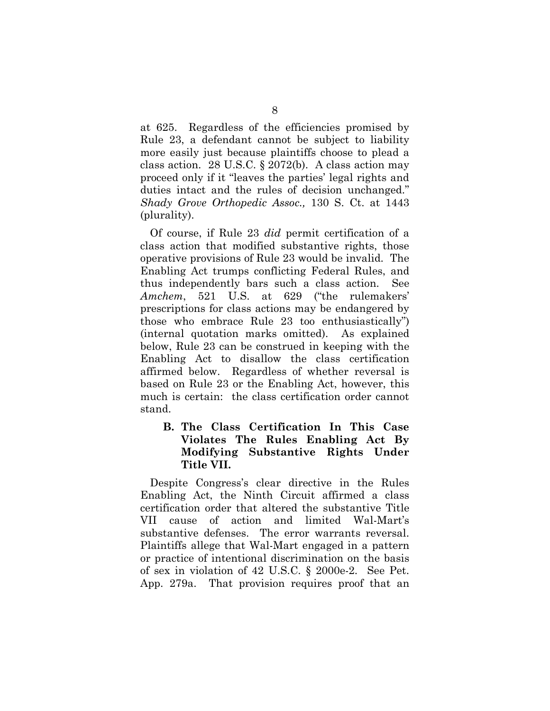at 625. Regardless of the efficiencies promised by Rule 23, a defendant cannot be subject to liability more easily just because plaintiffs choose to plead a class action. 28 U.S.C. § 2072(b). A class action may proceed only if it "leaves the parties' legal rights and duties intact and the rules of decision unchanged." *Shady Grove Orthopedic Assoc.,* 130 S. Ct. at 1443 (plurality).

Of course, if Rule 23 *did* permit certification of a class action that modified substantive rights, those operative provisions of Rule 23 would be invalid. The Enabling Act trumps conflicting Federal Rules, and thus independently bars such a class action. See *Amchem*, 521 U.S. at 629 ("the rulemakers' prescriptions for class actions may be endangered by those who embrace Rule 23 too enthusiastically") (internal quotation marks omitted). As explained below, Rule 23 can be construed in keeping with the Enabling Act to disallow the class certification affirmed below. Regardless of whether reversal is based on Rule 23 or the Enabling Act, however, this much is certain: the class certification order cannot stand.

## **B. The Class Certification In This Case Violates The Rules Enabling Act By Modifying Substantive Rights Under Title VII.**

Despite Congress's clear directive in the Rules Enabling Act, the Ninth Circuit affirmed a class certification order that altered the substantive Title VII cause of action and limited Wal-Mart's substantive defenses. The error warrants reversal. Plaintiffs allege that Wal-Mart engaged in a pattern or practice of intentional discrimination on the basis of sex in violation of 42 U.S.C. § 2000e-2. See Pet. App. 279a. That provision requires proof that an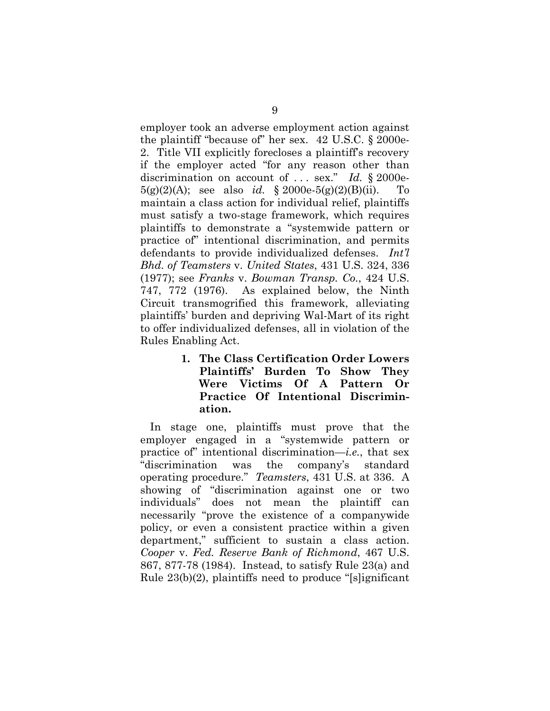employer took an adverse employment action against the plaintiff "because of" her sex. 42 U.S.C. § 2000e-2. Title VII explicitly forecloses a plaintiff's recovery if the employer acted "for any reason other than discrimination on account of . . . sex." *Id.* § 2000e-5(g)(2)(A); see also *id.* § 2000e-5(g)(2)(B)(ii). To maintain a class action for individual relief, plaintiffs must satisfy a two-stage framework, which requires plaintiffs to demonstrate a "systemwide pattern or practice of" intentional discrimination, and permits defendants to provide individualized defenses. *Int'l Bhd. of Teamsters* v. *United States*, 431 U.S. 324, 336 (1977); see *Franks* v. *Bowman Transp. Co.*, 424 U.S. 747, 772 (1976). As explained below, the Ninth Circuit transmogrified this framework, alleviating plaintiffs' burden and depriving Wal-Mart of its right to offer individualized defenses, all in violation of the Rules Enabling Act.

> **1. The Class Certification Order Lowers Plaintiffs' Burden To Show They Were Victims Of A Pattern Or Practice Of Intentional Discrimination.**

In stage one, plaintiffs must prove that the employer engaged in a "systemwide pattern or practice of" intentional discrimination—*i.e.*, that sex "discrimination was the company's standard operating procedure." *Teamsters*, 431 U.S. at 336. A showing of "discrimination against one or two individuals" does not mean the plaintiff can necessarily "prove the existence of a companywide policy, or even a consistent practice within a given department," sufficient to sustain a class action. *Cooper* v. *Fed. Reserve Bank of Richmond*, 467 U.S. 867, 877-78 (1984). Instead, to satisfy Rule 23(a) and Rule 23(b)(2), plaintiffs need to produce "[s]ignificant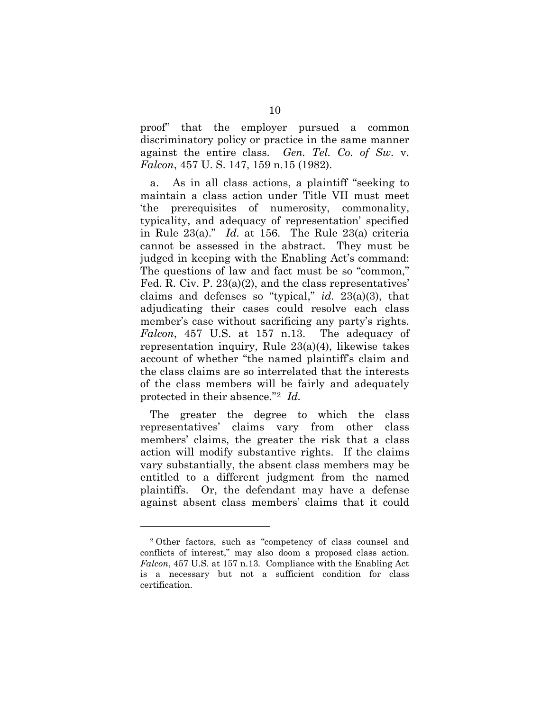proof" that the employer pursued a common discriminatory policy or practice in the same manner against the entire class. *Gen. Tel. Co. of Sw.* v. *Falcon*, 457 U. S. 147, 159 n.15 (1982).

a. As in all class actions, a plaintiff "seeking to maintain a class action under Title VII must meet 'the prerequisites of numerosity, commonality, typicality, and adequacy of representation' specified in Rule 23(a)." *Id.* at 156. The Rule 23(a) criteria cannot be assessed in the abstract. They must be judged in keeping with the Enabling Act's command: The questions of law and fact must be so "common," Fed. R. Civ. P. 23(a)(2), and the class representatives' claims and defenses so "typical," *id.* 23(a)(3), that adjudicating their cases could resolve each class member's case without sacrificing any party's rights. *Falcon*, 457 U.S. at 157 n.13. The adequacy of representation inquiry, Rule 23(a)(4), likewise takes account of whether "the named plaintiff's claim and the class claims are so interrelated that the interests of the class members will be fairly and adequately protected in their absence."[2](#page-14-0) *Id.*

The greater the degree to which the class representatives' claims vary from other class members' claims, the greater the risk that a class action will modify substantive rights. If the claims vary substantially, the absent class members may be entitled to a different judgment from the named plaintiffs. Or, the defendant may have a defense against absent class members' claims that it could

 $\overline{a}$ 

<span id="page-14-0"></span><sup>2</sup> Other factors, such as "competency of class counsel and conflicts of interest," may also doom a proposed class action. *Falcon*, 457 U.S. at 157 n.13*.* Compliance with the Enabling Act is a necessary but not a sufficient condition for class certification.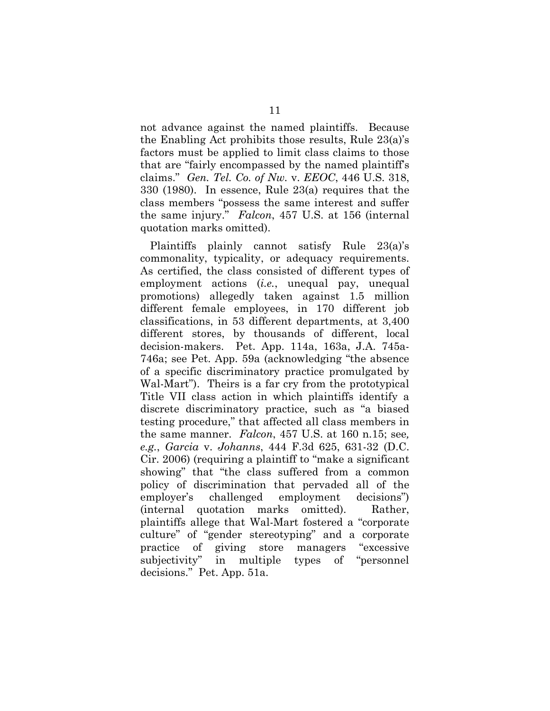not advance against the named plaintiffs. Because the Enabling Act prohibits those results, Rule 23(a)'s factors must be applied to limit class claims to those that are "fairly encompassed by the named plaintiff's claims." *Gen. Tel. Co. of Nw.* v. *EEOC*, 446 U.S. 318, 330 (1980). In essence, Rule 23(a) requires that the class members "possess the same interest and suffer the same injury." *Falcon*, 457 U.S. at 156 (internal quotation marks omitted).

Plaintiffs plainly cannot satisfy Rule 23(a)'s commonality, typicality, or adequacy requirements. As certified, the class consisted of different types of employment actions (*i.e.*, unequal pay, unequal promotions) allegedly taken against 1.5 million different female employees, in 170 different job classifications, in 53 different departments, at 3,400 different stores, by thousands of different, local decision-makers. Pet. App. 114a, 163a, J.A. 745a-746a; see Pet. App. 59a (acknowledging "the absence of a specific discriminatory practice promulgated by Wal-Mart"). Theirs is a far cry from the prototypical Title VII class action in which plaintiffs identify a discrete discriminatory practice, such as "a biased testing procedure," that affected all class members in the same manner. *Falcon*, 457 U.S. at 160 n.15; see*, e.g.*, *Garcia* v. *Johanns*, 444 F.3d 625, 631-32 (D.C. Cir. 2006) (requiring a plaintiff to "make a significant showing" that "the class suffered from a common policy of discrimination that pervaded all of the employer's challenged employment decisions") (internal quotation marks omitted). Rather, plaintiffs allege that Wal-Mart fostered a "corporate culture" of "gender stereotyping" and a corporate practice of giving store managers "excessive subjectivity" in multiple types of "personnel decisions." Pet. App. 51a.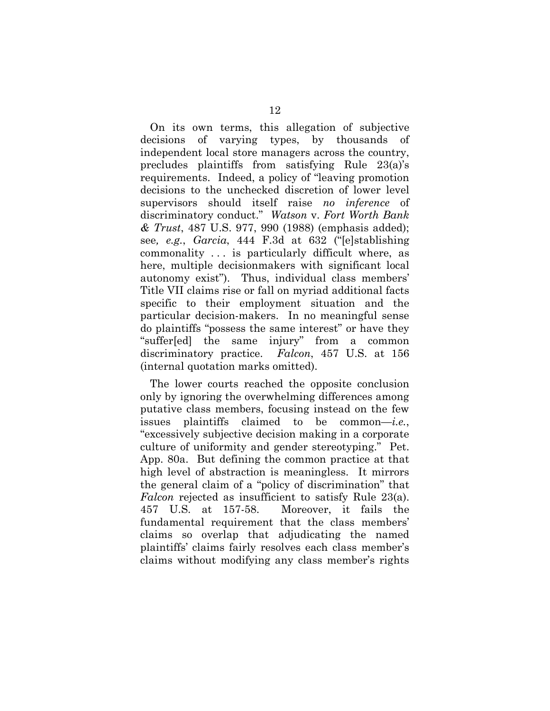On its own terms, this allegation of subjective decisions of varying types, by thousands of independent local store managers across the country, precludes plaintiffs from satisfying Rule 23(a)'s requirements. Indeed, a policy of "leaving promotion decisions to the unchecked discretion of lower level supervisors should itself raise *no inference* of discriminatory conduct." *Watson* v. *Fort Worth Bank & Trust*, 487 U.S. 977, 990 (1988) (emphasis added); see*, e.g.*, *Garcia*, 444 F.3d at 632 ("[e]stablishing commonality . . . is particularly difficult where, as here, multiple decisionmakers with significant local autonomy exist"). Thus, individual class members' Title VII claims rise or fall on myriad additional facts specific to their employment situation and the particular decision-makers. In no meaningful sense do plaintiffs "possess the same interest" or have they "suffer[ed] the same injury" from a common discriminatory practice. *Falcon*, 457 U.S. at 156 (internal quotation marks omitted).

The lower courts reached the opposite conclusion only by ignoring the overwhelming differences among putative class members, focusing instead on the few issues plaintiffs claimed to be common—*i.e.*, "excessively subjective decision making in a corporate culture of uniformity and gender stereotyping." Pet. App. 80a. But defining the common practice at that high level of abstraction is meaningless. It mirrors the general claim of a "policy of discrimination" that *Falcon* rejected as insufficient to satisfy Rule 23(a). 457 U.S. at 157-58. Moreover, it fails the fundamental requirement that the class members' claims so overlap that adjudicating the named plaintiffs' claims fairly resolves each class member's claims without modifying any class member's rights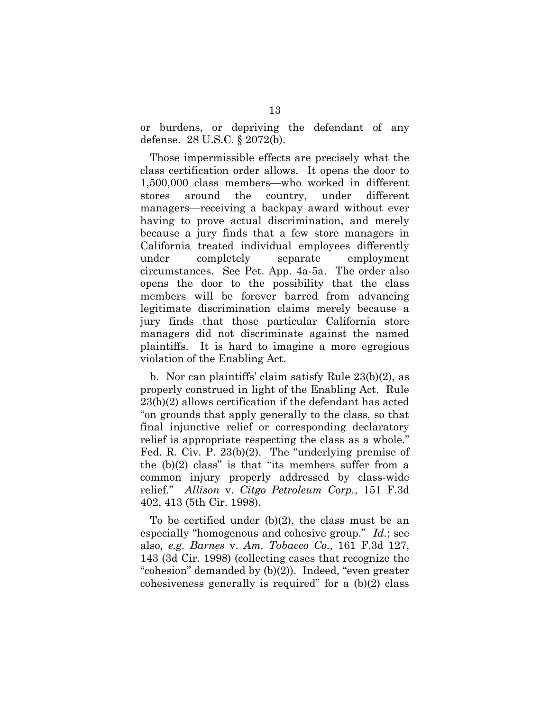or burdens, or depriving the defendant of any defense. 28 U.S.C. § 2072(b).

Those impermissible effects are precisely what the class certification order allows. It opens the door to 1,500,000 class members—who worked in different stores around the country, under different managers—receiving a backpay award without ever having to prove actual discrimination, and merely because a jury finds that a few store managers in California treated individual employees differently under completely separate employment circumstances. See Pet. App. 4a-5a. The order also opens the door to the possibility that the class members will be forever barred from advancing legitimate discrimination claims merely because a jury finds that those particular California store managers did not discriminate against the named plaintiffs. It is hard to imagine a more egregious violation of the Enabling Act.

b. Nor can plaintiffs' claim satisfy Rule 23(b)(2), as properly construed in light of the Enabling Act. Rule 23(b)(2) allows certification if the defendant has acted "on grounds that apply generally to the class, so that final injunctive relief or corresponding declaratory relief is appropriate respecting the class as a whole." Fed. R. Civ. P. 23(b)(2). The "underlying premise of the (b)(2) class" is that "its members suffer from a common injury properly addressed by class-wide relief." *Allison* v. *Citgo Petroleum Corp.*, 151 F.3d 402, 413 (5th Cir. 1998).

To be certified under (b)(2), the class must be an especially "homogenous and cohesive group." *Id.*; see also*, e.g. Barnes* v. *Am. Tobacco Co.*, 161 F.3d 127, 143 (3d Cir. 1998) (collecting cases that recognize the "cohesion" demanded by (b)(2)). Indeed, "even greater cohesiveness generally is required" for a (b)(2) class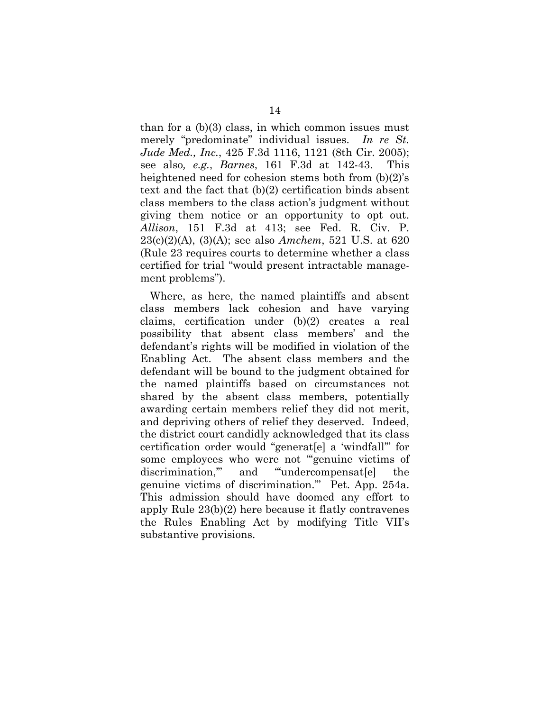than for a  $(b)(3)$  class, in which common issues must merely "predominate" individual issues. *In re St. Jude Med., Inc.*, 425 F.3d 1116, 1121 (8th Cir. 2005); see also*, e.g.*, *Barnes*, 161 F.3d at 142-43. This heightened need for cohesion stems both from (b)(2)'s text and the fact that (b)(2) certification binds absent class members to the class action's judgment without giving them notice or an opportunity to opt out. *Allison*, 151 F.3d at 413; see Fed. R. Civ. P. 23(c)(2)(A), (3)(A); see also *Amchem*, 521 U.S. at 620 (Rule 23 requires courts to determine whether a class certified for trial "would present intractable management problems").

Where, as here, the named plaintiffs and absent class members lack cohesion and have varying claims, certification under (b)(2) creates a real possibility that absent class members' and the defendant's rights will be modified in violation of the Enabling Act. The absent class members and the defendant will be bound to the judgment obtained for the named plaintiffs based on circumstances not shared by the absent class members, potentially awarding certain members relief they did not merit, and depriving others of relief they deserved. Indeed, the district court candidly acknowledged that its class certification order would "generat[e] a 'windfall'" for some employees who were not "'genuine victims of discrimination," and "undercompensat[e] the genuine victims of discrimination.'" Pet. App. 254a. This admission should have doomed any effort to apply Rule 23(b)(2) here because it flatly contravenes the Rules Enabling Act by modifying Title VII's substantive provisions.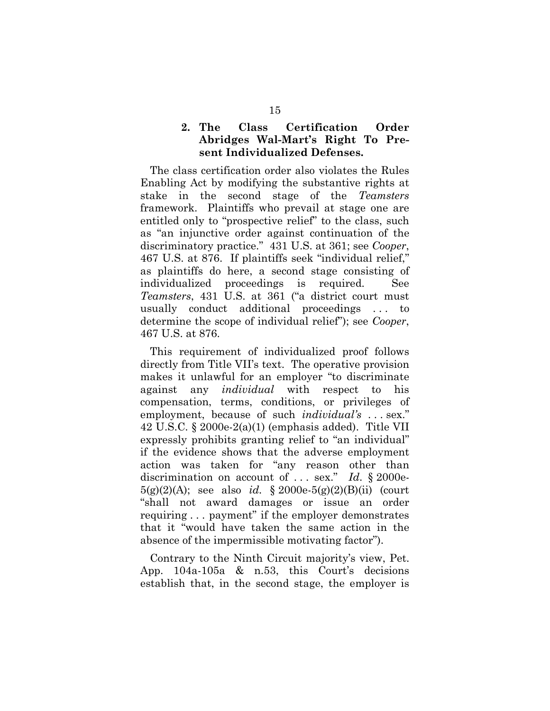## **2. The Class Certification Order Abridges Wal-Mart's Right To Present Individualized Defenses.**

The class certification order also violates the Rules Enabling Act by modifying the substantive rights at stake in the second stage of the *Teamsters*  framework. Plaintiffs who prevail at stage one are entitled only to "prospective relief" to the class, such as "an injunctive order against continuation of the discriminatory practice." 431 U.S. at 361; see *Cooper*, 467 U.S. at 876. If plaintiffs seek "individual relief," as plaintiffs do here, a second stage consisting of individualized proceedings is required. See *Teamsters*, 431 U.S. at 361 ("a district court must usually conduct additional proceedings . . . to determine the scope of individual relief"); see *Cooper*, 467 U.S. at 876.

This requirement of individualized proof follows directly from Title VII's text. The operative provision makes it unlawful for an employer "to discriminate against any *individual* with respect to his compensation, terms, conditions, or privileges of employment, because of such *individual's* . . . sex." 42 U.S.C. § 2000e-2(a)(1) (emphasis added). Title VII expressly prohibits granting relief to "an individual" if the evidence shows that the adverse employment action was taken for "any reason other than discrimination on account of . . . sex." *Id*. § 2000e-5(g)(2)(A); see also *id.* § 2000e-5(g)(2)(B)(ii) (court "shall not award damages or issue an order requiring . . . payment" if the employer demonstrates that it "would have taken the same action in the absence of the impermissible motivating factor").

Contrary to the Ninth Circuit majority's view, Pet. App. 104a-105a & n.53, this Court's decisions establish that, in the second stage, the employer is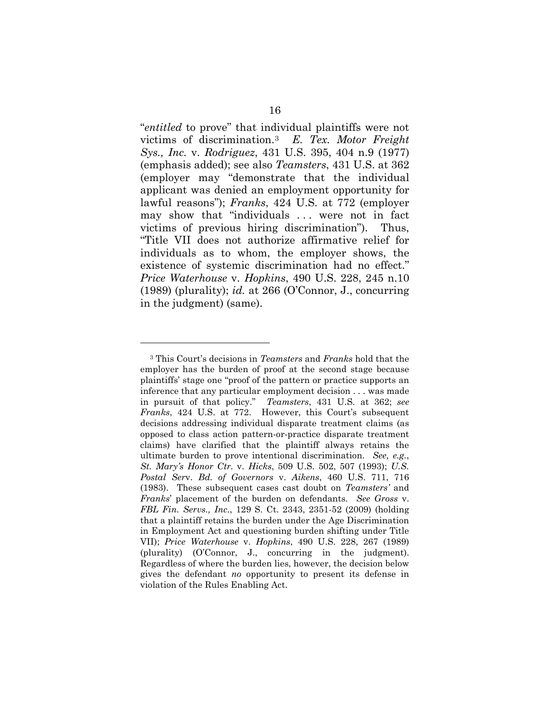"*entitled* to prove" that individual plaintiffs were not victims of discrimination.[3](#page-20-0) *E. Tex. Motor Freight Sys., Inc.* v. *Rodriguez*, 431 U.S. 395, 404 n.9 (1977) (emphasis added); see also *Teamsters*, 431 U.S. at 362 (employer may "demonstrate that the individual applicant was denied an employment opportunity for lawful reasons"); *Franks*, 424 U.S. at 772 (employer may show that "individuals ... were not in fact" victims of previous hiring discrimination"). Thus, "Title VII does not authorize affirmative relief for individuals as to whom, the employer shows, the existence of systemic discrimination had no effect." *Price Waterhouse* v. *Hopkins*, 490 U.S. 228, 245 n.10 (1989) (plurality); *id.* at 266 (O'Connor, J., concurring in the judgment) (same).

 $\overline{a}$ 

<span id="page-20-0"></span><sup>3</sup> This Court's decisions in *Teamsters* and *Franks* hold that the employer has the burden of proof at the second stage because plaintiffs' stage one "proof of the pattern or practice supports an inference that any particular employment decision . . . was made in pursuit of that policy." *Teamsters*, 431 U.S. at 362; *see Franks*, 424 U.S. at 772. However, this Court's subsequent decisions addressing individual disparate treatment claims (as opposed to class action pattern-or-practice disparate treatment claims) have clarified that the plaintiff always retains the ultimate burden to prove intentional discrimination. *See, e.g.*, *St. Mary's Honor Ctr.* v. *Hicks*, 509 U.S. 502, 507 (1993); *U.S. Postal Ser*v. *Bd. of Governors* v. *Aikens*, 460 U.S. 711, 716 (1983). These subsequent cases cast doubt on *Teamsters'* and *Franks*' placement of the burden on defendants. *See Gross* v. *FBL Fin. Servs., Inc.*, 129 S. Ct. 2343, 2351-52 (2009) (holding that a plaintiff retains the burden under the Age Discrimination in Employment Act and questioning burden shifting under Title VII); *Price Waterhouse* v. *Hopkins*, 490 U.S. 228, 267 (1989) (plurality) (O'Connor, J., concurring in the judgment). Regardless of where the burden lies, however, the decision below gives the defendant *no* opportunity to present its defense in violation of the Rules Enabling Act.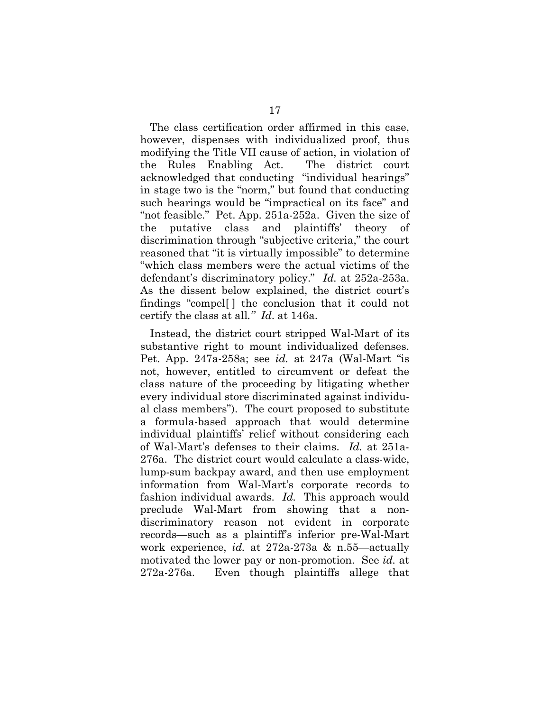The class certification order affirmed in this case, however, dispenses with individualized proof, thus modifying the Title VII cause of action, in violation of the Rules Enabling Act. The district court acknowledged that conducting "individual hearings" in stage two is the "norm," but found that conducting such hearings would be "impractical on its face" and "not feasible." Pet. App. 251a-252a. Given the size of the putative class and plaintiffs' theory of discrimination through "subjective criteria," the court reasoned that "it is virtually impossible" to determine "which class members were the actual victims of the defendant's discriminatory policy." *Id.* at 252a-253a. As the dissent below explained, the district court's findings "compel[ ] the conclusion that it could not certify the class at all*." Id*. at 146a.

Instead, the district court stripped Wal-Mart of its substantive right to mount individualized defenses. Pet. App. 247a-258a; see *id.* at 247a (Wal-Mart "is not, however, entitled to circumvent or defeat the class nature of the proceeding by litigating whether every individual store discriminated against individual class members"). The court proposed to substitute a formula-based approach that would determine individual plaintiffs' relief without considering each of Wal-Mart's defenses to their claims. *Id.* at 251a-276a. The district court would calculate a class-wide, lump-sum backpay award, and then use employment information from Wal-Mart's corporate records to fashion individual awards. *Id.* This approach would preclude Wal-Mart from showing that a nondiscriminatory reason not evident in corporate records—such as a plaintiff's inferior pre-Wal-Mart work experience, *id.* at 272a-273a & n.55—actually motivated the lower pay or non-promotion. See *id.* at 272a-276a. Even though plaintiffs allege that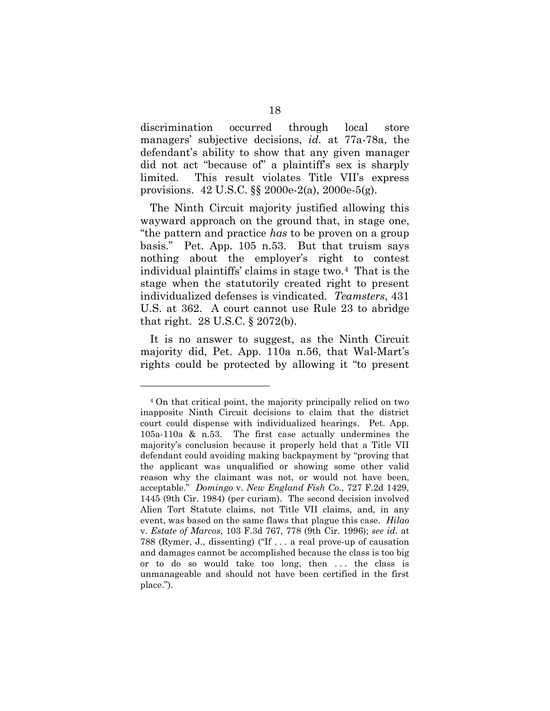discrimination occurred through local store managers' subjective decisions, *id.* at 77a-78a, the defendant's ability to show that any given manager did not act "because of" a plaintiff's sex is sharply limited. This result violates Title VII's express provisions. 42 U.S.C. §§ 2000e-2(a), 2000e-5(g).

The Ninth Circuit majority justified allowing this wayward approach on the ground that, in stage one, "the pattern and practice *has* to be proven on a group basis." Pet. App. 105 n.53. But that truism says nothing about the employer's right to contest individual plaintiffs' claims in stage two[.4](#page-22-0) That is the stage when the statutorily created right to present individualized defenses is vindicated. *Teamsters*, 431 U.S. at 362. A court cannot use Rule 23 to abridge that right. 28 U.S.C. § 2072(b).

It is no answer to suggest, as the Ninth Circuit majority did, Pet. App. 110a n.56, that Wal-Mart's rights could be protected by allowing it "to present

 $\overline{a}$ 

<span id="page-22-0"></span><sup>4</sup> On that critical point, the majority principally relied on two inapposite Ninth Circuit decisions to claim that the district court could dispense with individualized hearings. Pet. App. 105a-110a & n.53. The first case actually undermines the majority's conclusion because it properly held that a Title VII defendant could avoiding making backpayment by "proving that the applicant was unqualified or showing some other valid reason why the claimant was not, or would not have been, acceptable." *Domingo* v. *New England Fish Co*., 727 F.2d 1429, 1445 (9th Cir. 1984) (per curiam). The second decision involved Alien Tort Statute claims, not Title VII claims, and, in any event, was based on the same flaws that plague this case. *Hilao*  v. *Estate of Marcos*, 103 F.3d 767, 778 (9th Cir. 1996); *see id.* at 788 (Rymer, J., dissenting) ("If . . . a real prove-up of causation and damages cannot be accomplished because the class is too big or to do so would take too long, then . . . the class is unmanageable and should not have been certified in the first place.").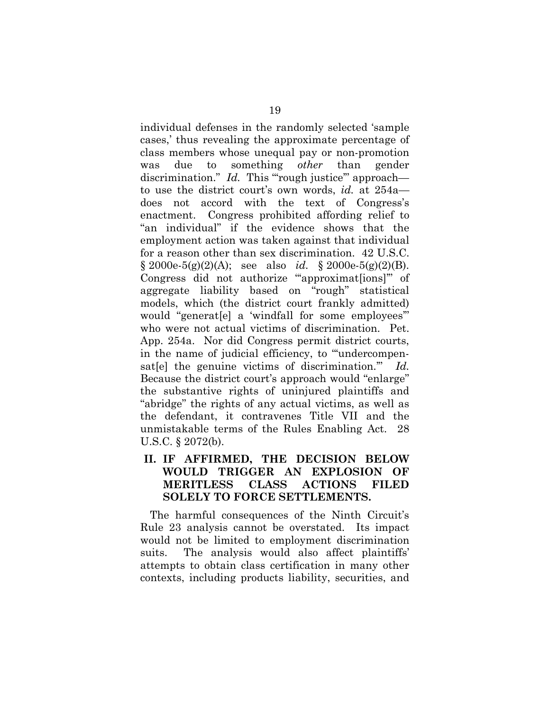individual defenses in the randomly selected 'sample cases,' thus revealing the approximate percentage of class members whose unequal pay or non-promotion was due to something *other* than gender discrimination." *Id.* This "rough justice" approach to use the district court's own words, *id.* at 254a does not accord with the text of Congress's enactment. Congress prohibited affording relief to "an individual" if the evidence shows that the employment action was taken against that individual for a reason other than sex discrimination. 42 U.S.C. § 2000e-5(g)(2)(A); see also *id.* § 2000e-5(g)(2)(B). Congress did not authorize "approximaterions" of aggregate liability based on "rough" statistical models, which (the district court frankly admitted) would "generat[e] a 'windfall for some employees'" who were not actual victims of discrimination. Pet. App. 254a. Nor did Congress permit district courts, in the name of judicial efficiency, to "undercompensat[e] the genuine victims of discrimination.'" *Id.* Because the district court's approach would "enlarge" the substantive rights of uninjured plaintiffs and "abridge" the rights of any actual victims, as well as the defendant, it contravenes Title VII and the unmistakable terms of the Rules Enabling Act. 28 U.S.C. § 2072(b).

## **II. IF AFFIRMED, THE DECISION BELOW WOULD TRIGGER AN EXPLOSION OF MERITLESS CLASS ACTIONS FILED SOLELY TO FORCE SETTLEMENTS.**

The harmful consequences of the Ninth Circuit's Rule 23 analysis cannot be overstated. Its impact would not be limited to employment discrimination suits. The analysis would also affect plaintiffs' attempts to obtain class certification in many other contexts, including products liability, securities, and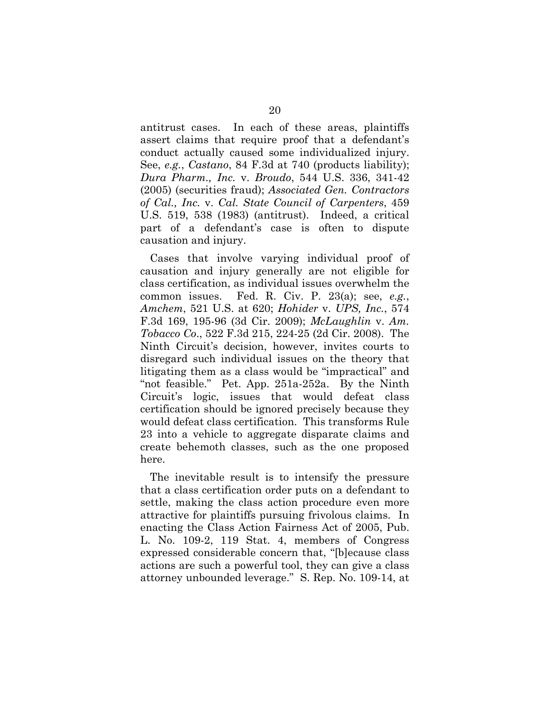antitrust cases. In each of these areas, plaintiffs assert claims that require proof that a defendant's conduct actually caused some individualized injury. See, *e.g.*, *Castano*, 84 F.3d at 740 (products liability); *Dura Pharm., Inc.* v. *Broudo*, 544 U.S. 336, 341-42 (2005) (securities fraud); *Associated Gen. Contractors of Cal., Inc.* v. *Cal. State Council of Carpenters*, 459 U.S. 519, 538 (1983) (antitrust). Indeed, a critical part of a defendant's case is often to dispute causation and injury.

Cases that involve varying individual proof of causation and injury generally are not eligible for class certification, as individual issues overwhelm the common issues. Fed. R. Civ. P. 23(a); see, *e.g.*, *Amchem*, 521 U.S. at 620; *Hohider* v. *UPS, Inc.*, 574 F.3d 169, 195-96 (3d Cir. 2009); *McLaughlin* v. *Am. Tobacco Co*., 522 F.3d 215, 224-25 (2d Cir. 2008). The Ninth Circuit's decision, however, invites courts to disregard such individual issues on the theory that litigating them as a class would be "impractical" and "not feasible." Pet. App. 251a-252a. By the Ninth Circuit's logic, issues that would defeat class certification should be ignored precisely because they would defeat class certification. This transforms Rule 23 into a vehicle to aggregate disparate claims and create behemoth classes, such as the one proposed here.

The inevitable result is to intensify the pressure that a class certification order puts on a defendant to settle, making the class action procedure even more attractive for plaintiffs pursuing frivolous claims. In enacting the Class Action Fairness Act of 2005, Pub. L. No. 109-2, 119 Stat. 4, members of Congress expressed considerable concern that, "[b]ecause class actions are such a powerful tool, they can give a class attorney unbounded leverage." S. Rep. No. 109-14, at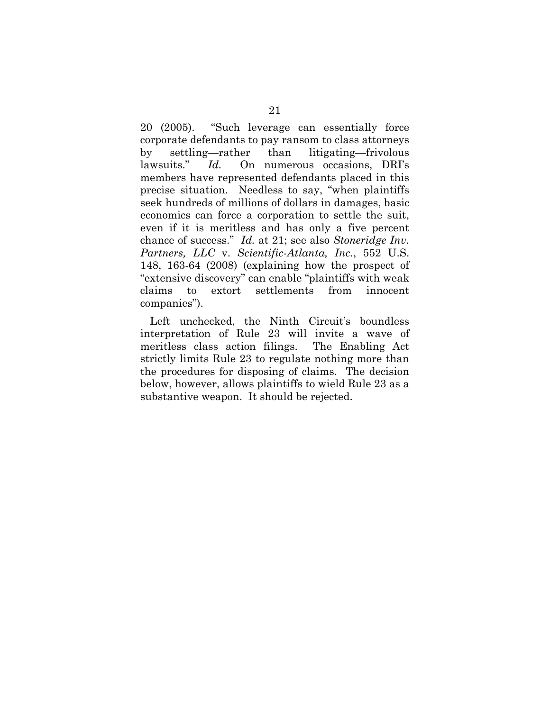20 (2005). "Such leverage can essentially force corporate defendants to pay ransom to class attorneys by settling—rather than litigating—frivolous lawsuits." *Id.* On numerous occasions, DRI's members have represented defendants placed in this precise situation. Needless to say, "when plaintiffs seek hundreds of millions of dollars in damages, basic economics can force a corporation to settle the suit, even if it is meritless and has only a five percent chance of success." *Id.* at 21; see also *Stoneridge Inv. Partners, LLC* v. *Scientific-Atlanta, Inc.*, 552 U.S. 148, 163-64 (2008) (explaining how the prospect of "extensive discovery" can enable "plaintiffs with weak claims to extort settlements from innocent companies").

Left unchecked, the Ninth Circuit's boundless interpretation of Rule 23 will invite a wave of meritless class action filings. The Enabling Act strictly limits Rule 23 to regulate nothing more than the procedures for disposing of claims. The decision below, however, allows plaintiffs to wield Rule 23 as a substantive weapon. It should be rejected.